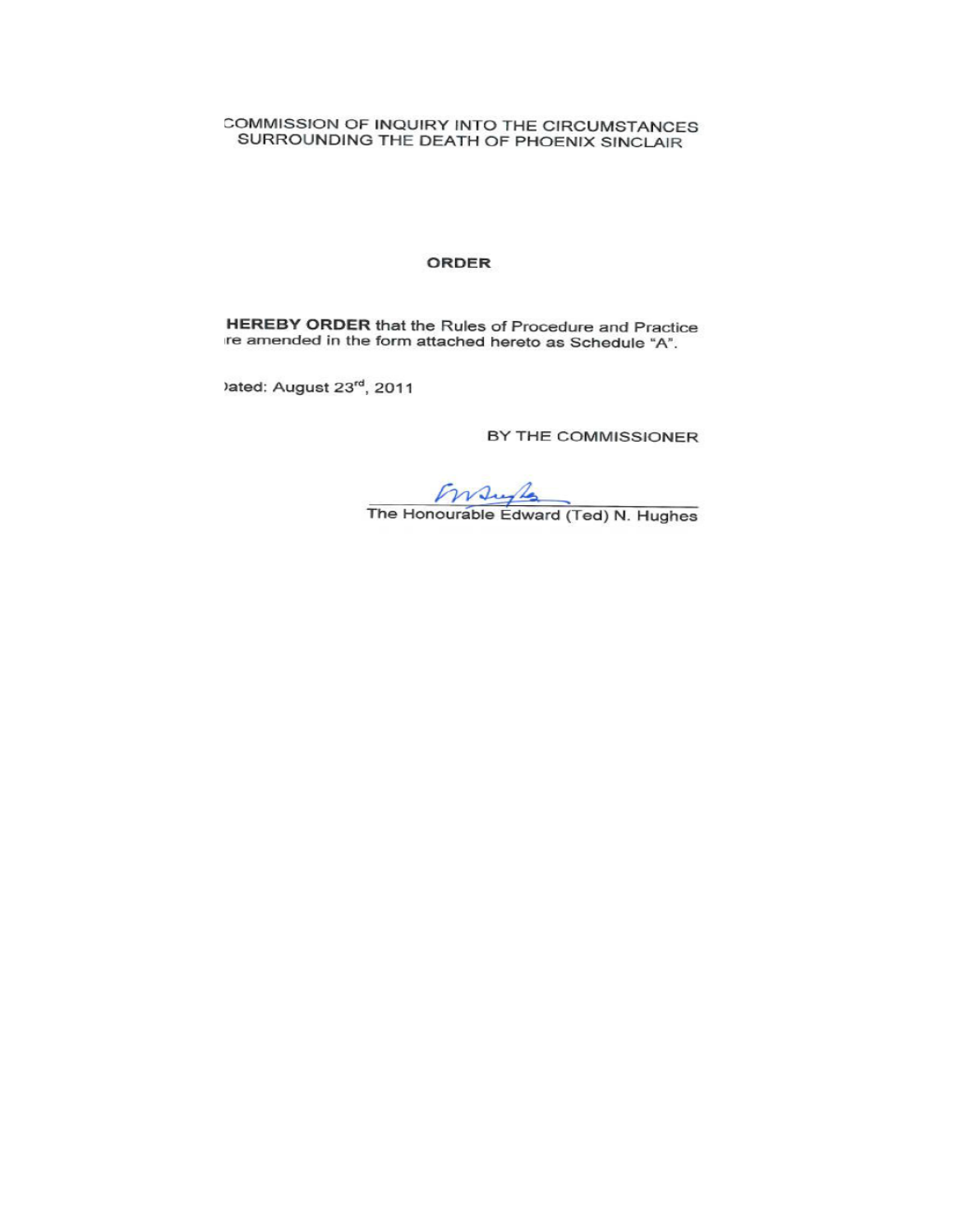COMMISSION OF INQUIRY INTO THE CIRCUMSTANCES SURROUNDING THE DEATH OF PHOENIX SINCLAIR

#### ORDER

HEREBY ORDER that the Rules of Procedure and Practice re amended in the form attached hereto as Schedule "A".

ated: August 23rd, 2011

BY THE COMMISSIONER

 $\sqrt{\frac{\text{1}}{\text{2}}\text{1}}$ The Honourable Edward (Ted) N. Hughes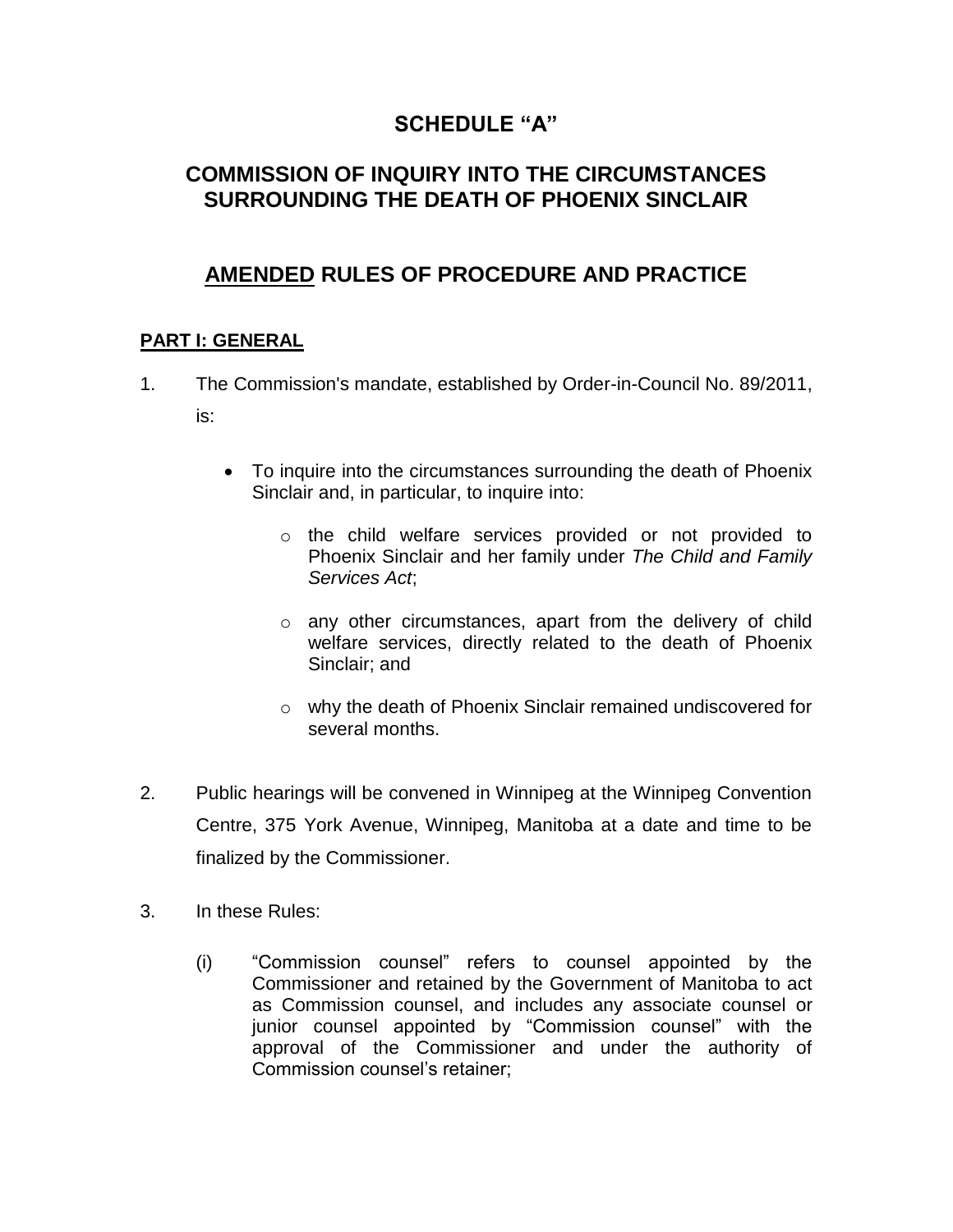## **SCHEDULE "A"**

# **COMMISSION OF INQUIRY INTO THE CIRCUMSTANCES SURROUNDING THE DEATH OF PHOENIX SINCLAIR**

# **AMENDED RULES OF PROCEDURE AND PRACTICE**

## **PART I: GENERAL**

- 1. The Commission's mandate, established by Order-in-Council No. 89/2011, is:
	- To inquire into the circumstances surrounding the death of Phoenix Sinclair and, in particular, to inquire into:
		- o the child welfare services provided or not provided to Phoenix Sinclair and her family under *The Child and Family Services Act*;
		- o any other circumstances, apart from the delivery of child welfare services, directly related to the death of Phoenix Sinclair; and
		- o why the death of Phoenix Sinclair remained undiscovered for several months.
- 2. Public hearings will be convened in Winnipeg at the Winnipeg Convention Centre, 375 York Avenue, Winnipeg, Manitoba at a date and time to be finalized by the Commissioner.
- 3. In these Rules:
	- (i) "Commission counsel" refers to counsel appointed by the Commissioner and retained by the Government of Manitoba to act as Commission counsel, and includes any associate counsel or junior counsel appointed by "Commission counsel" with the approval of the Commissioner and under the authority of Commission counsel's retainer;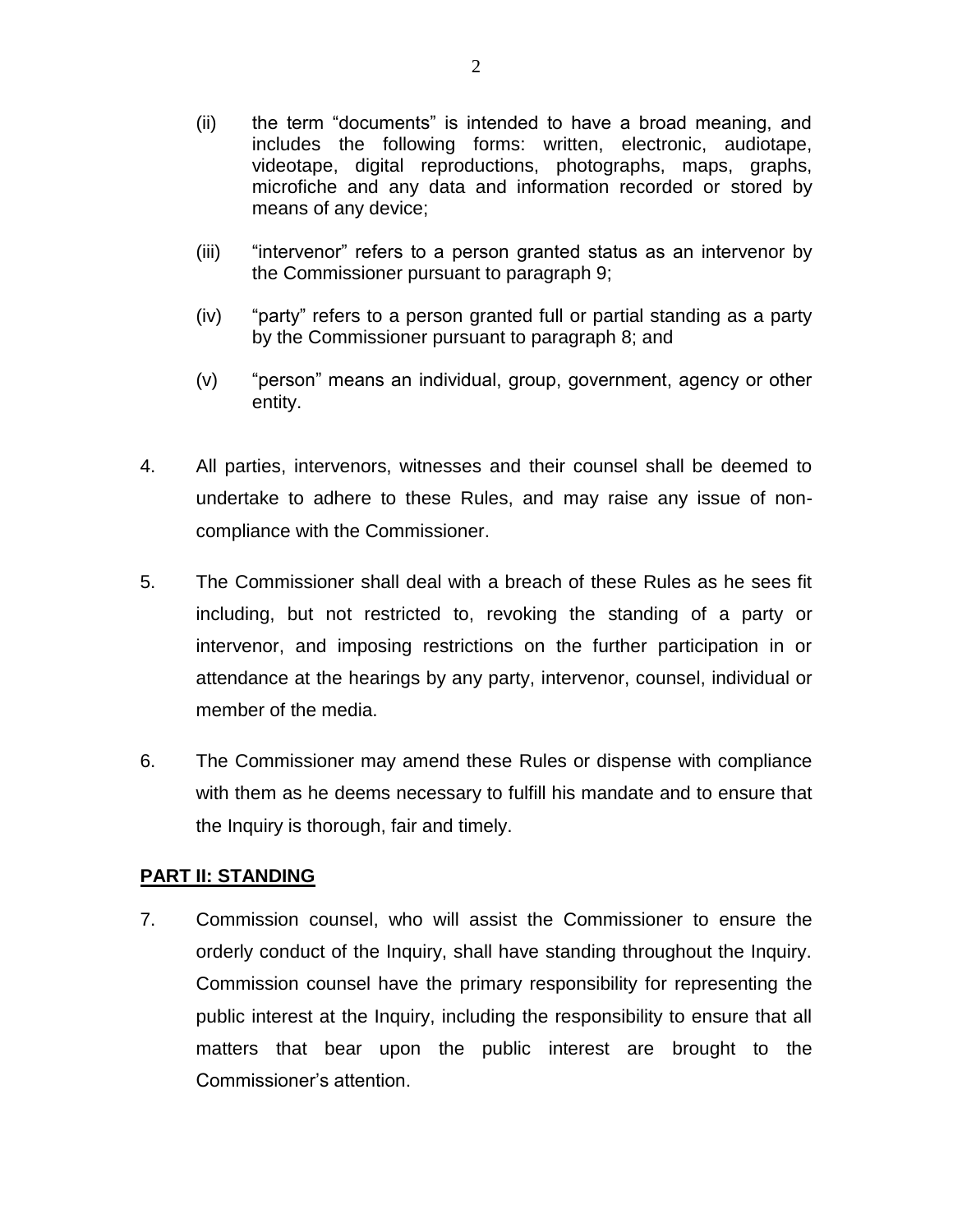- (ii) the term "documents" is intended to have a broad meaning, and includes the following forms: written, electronic, audiotape, videotape, digital reproductions, photographs, maps, graphs, microfiche and any data and information recorded or stored by means of any device;
- (iii) "intervenor" refers to a person granted status as an intervenor by the Commissioner pursuant to paragraph 9;
- (iv) "party" refers to a person granted full or partial standing as a party by the Commissioner pursuant to paragraph 8; and
- (v) "person" means an individual, group, government, agency or other entity.
- 4. All parties, intervenors, witnesses and their counsel shall be deemed to undertake to adhere to these Rules, and may raise any issue of noncompliance with the Commissioner.
- 5. The Commissioner shall deal with a breach of these Rules as he sees fit including, but not restricted to, revoking the standing of a party or intervenor, and imposing restrictions on the further participation in or attendance at the hearings by any party, intervenor, counsel, individual or member of the media.
- 6. The Commissioner may amend these Rules or dispense with compliance with them as he deems necessary to fulfill his mandate and to ensure that the Inquiry is thorough, fair and timely.

## **PART II: STANDING**

7. Commission counsel, who will assist the Commissioner to ensure the orderly conduct of the Inquiry, shall have standing throughout the Inquiry. Commission counsel have the primary responsibility for representing the public interest at the Inquiry, including the responsibility to ensure that all matters that bear upon the public interest are brought to the Commissioner's attention.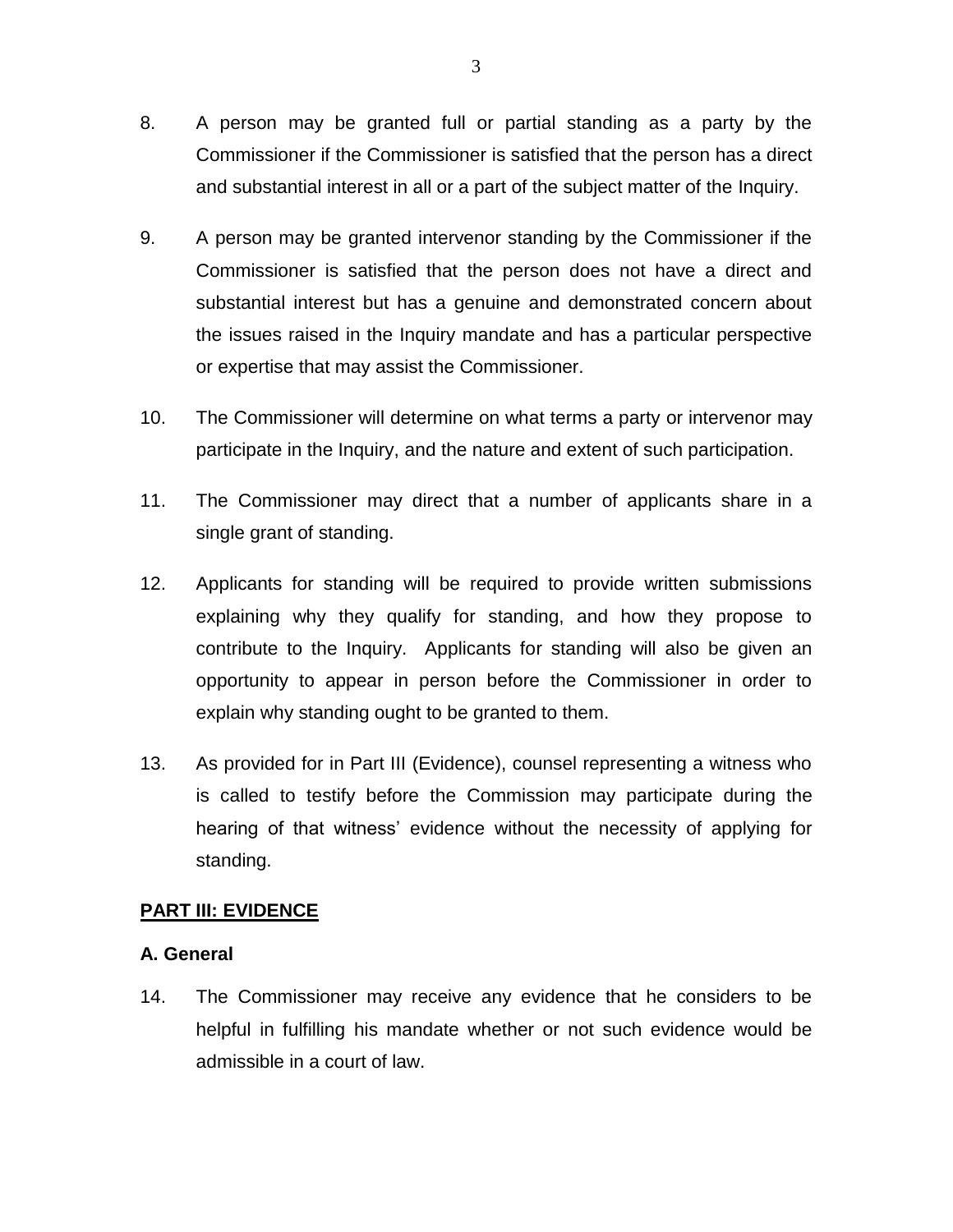- 8. A person may be granted full or partial standing as a party by the Commissioner if the Commissioner is satisfied that the person has a direct and substantial interest in all or a part of the subject matter of the Inquiry.
- 9. A person may be granted intervenor standing by the Commissioner if the Commissioner is satisfied that the person does not have a direct and substantial interest but has a genuine and demonstrated concern about the issues raised in the Inquiry mandate and has a particular perspective or expertise that may assist the Commissioner.
- 10. The Commissioner will determine on what terms a party or intervenor may participate in the Inquiry, and the nature and extent of such participation.
- 11. The Commissioner may direct that a number of applicants share in a single grant of standing.
- 12. Applicants for standing will be required to provide written submissions explaining why they qualify for standing, and how they propose to contribute to the Inquiry. Applicants for standing will also be given an opportunity to appear in person before the Commissioner in order to explain why standing ought to be granted to them.
- 13. As provided for in Part III (Evidence), counsel representing a witness who is called to testify before the Commission may participate during the hearing of that witness' evidence without the necessity of applying for standing.

## **PART III: EVIDENCE**

## **A. General**

14. The Commissioner may receive any evidence that he considers to be helpful in fulfilling his mandate whether or not such evidence would be admissible in a court of law.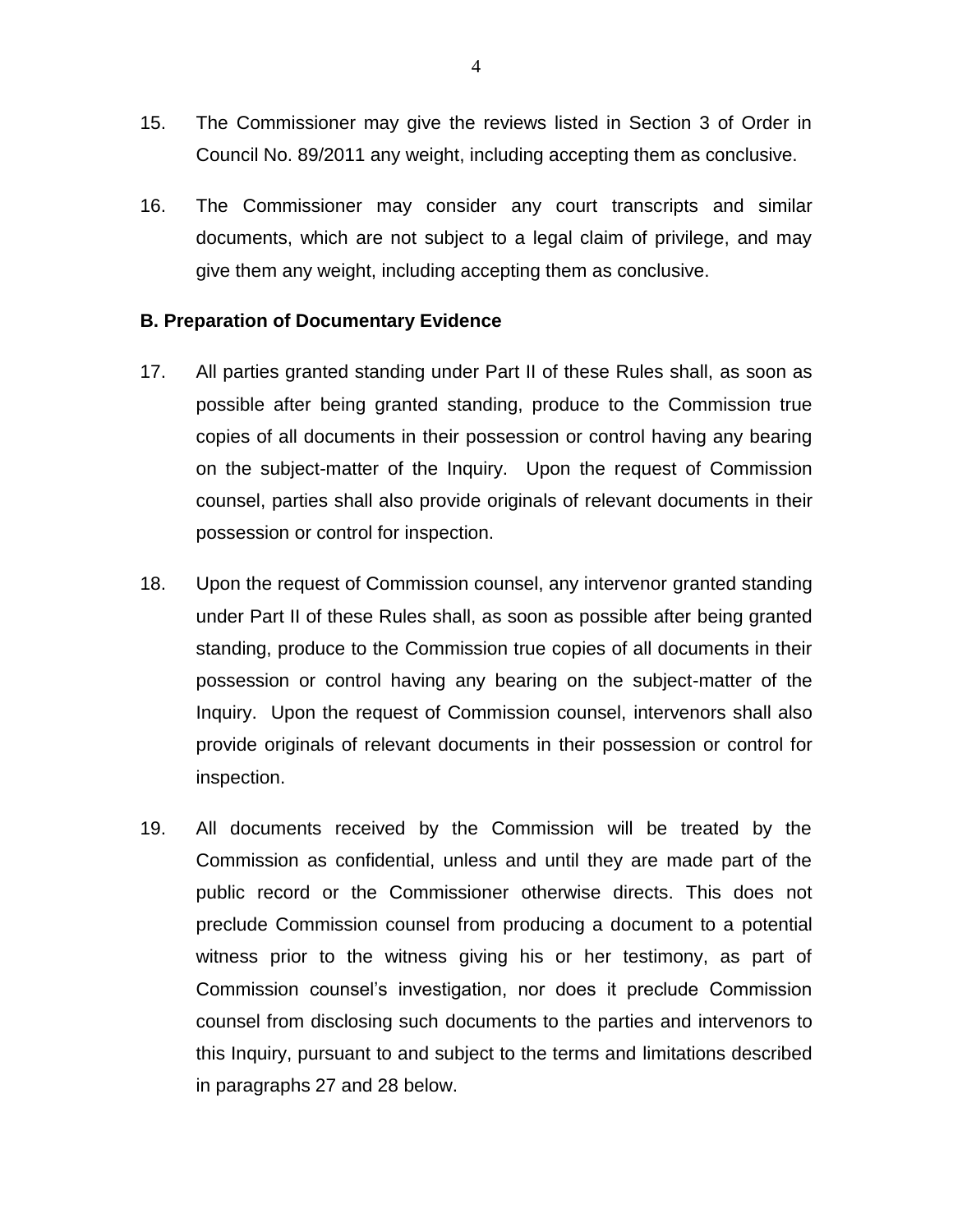- 15. The Commissioner may give the reviews listed in Section 3 of Order in Council No. 89/2011 any weight, including accepting them as conclusive.
- 16. The Commissioner may consider any court transcripts and similar documents, which are not subject to a legal claim of privilege, and may give them any weight, including accepting them as conclusive.

### **B. Preparation of Documentary Evidence**

- 17. All parties granted standing under Part II of these Rules shall, as soon as possible after being granted standing, produce to the Commission true copies of all documents in their possession or control having any bearing on the subject-matter of the Inquiry. Upon the request of Commission counsel, parties shall also provide originals of relevant documents in their possession or control for inspection.
- 18. Upon the request of Commission counsel, any intervenor granted standing under Part II of these Rules shall, as soon as possible after being granted standing, produce to the Commission true copies of all documents in their possession or control having any bearing on the subject-matter of the Inquiry. Upon the request of Commission counsel, intervenors shall also provide originals of relevant documents in their possession or control for inspection.
- 19. All documents received by the Commission will be treated by the Commission as confidential, unless and until they are made part of the public record or the Commissioner otherwise directs. This does not preclude Commission counsel from producing a document to a potential witness prior to the witness giving his or her testimony, as part of Commission counsel's investigation, nor does it preclude Commission counsel from disclosing such documents to the parties and intervenors to this Inquiry, pursuant to and subject to the terms and limitations described in paragraphs 27 and 28 below.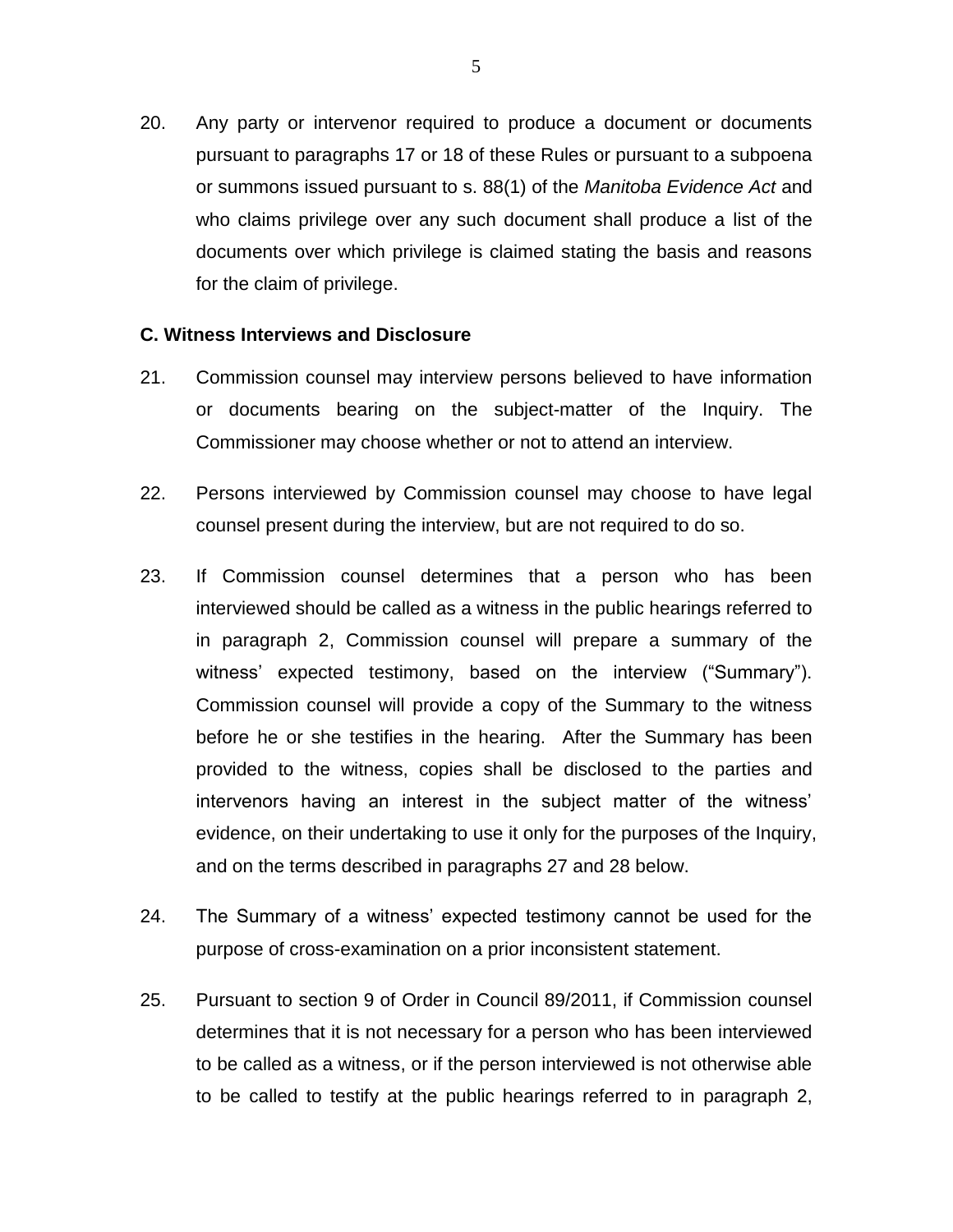20. Any party or intervenor required to produce a document or documents pursuant to paragraphs 17 or 18 of these Rules or pursuant to a subpoena or summons issued pursuant to s. 88(1) of the *Manitoba Evidence Act* and who claims privilege over any such document shall produce a list of the documents over which privilege is claimed stating the basis and reasons for the claim of privilege.

### **C. Witness Interviews and Disclosure**

- 21. Commission counsel may interview persons believed to have information or documents bearing on the subject-matter of the Inquiry. The Commissioner may choose whether or not to attend an interview.
- 22. Persons interviewed by Commission counsel may choose to have legal counsel present during the interview, but are not required to do so.
- 23. If Commission counsel determines that a person who has been interviewed should be called as a witness in the public hearings referred to in paragraph 2, Commission counsel will prepare a summary of the witness' expected testimony, based on the interview ("Summary"). Commission counsel will provide a copy of the Summary to the witness before he or she testifies in the hearing. After the Summary has been provided to the witness, copies shall be disclosed to the parties and intervenors having an interest in the subject matter of the witness' evidence, on their undertaking to use it only for the purposes of the Inquiry, and on the terms described in paragraphs 27 and 28 below.
- 24. The Summary of a witness' expected testimony cannot be used for the purpose of cross-examination on a prior inconsistent statement.
- 25. Pursuant to section 9 of Order in Council 89/2011, if Commission counsel determines that it is not necessary for a person who has been interviewed to be called as a witness, or if the person interviewed is not otherwise able to be called to testify at the public hearings referred to in paragraph 2,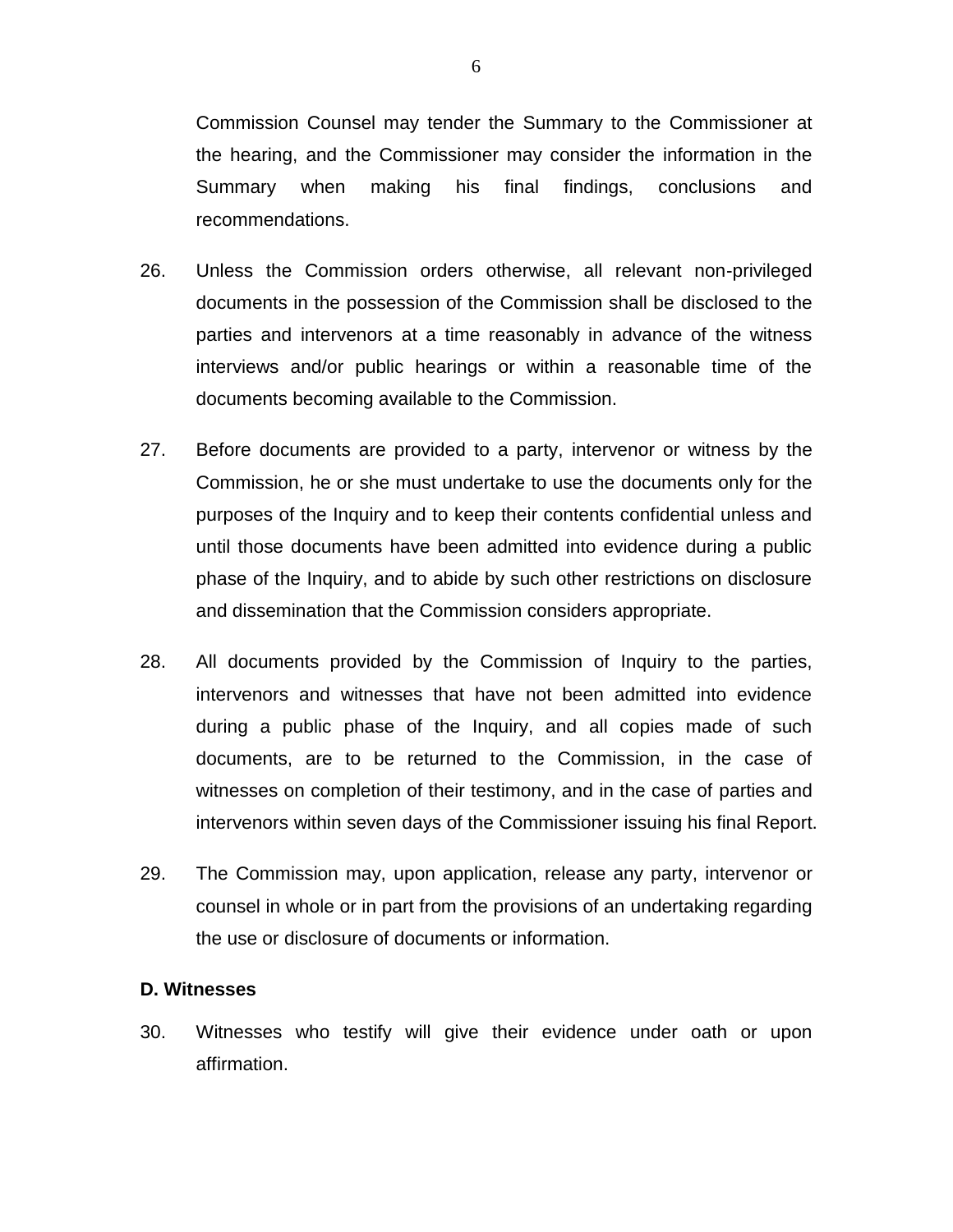Commission Counsel may tender the Summary to the Commissioner at the hearing, and the Commissioner may consider the information in the Summary when making his final findings, conclusions and recommendations.

- 26. Unless the Commission orders otherwise, all relevant non-privileged documents in the possession of the Commission shall be disclosed to the parties and intervenors at a time reasonably in advance of the witness interviews and/or public hearings or within a reasonable time of the documents becoming available to the Commission.
- 27. Before documents are provided to a party, intervenor or witness by the Commission, he or she must undertake to use the documents only for the purposes of the Inquiry and to keep their contents confidential unless and until those documents have been admitted into evidence during a public phase of the Inquiry, and to abide by such other restrictions on disclosure and dissemination that the Commission considers appropriate.
- 28. All documents provided by the Commission of Inquiry to the parties, intervenors and witnesses that have not been admitted into evidence during a public phase of the Inquiry, and all copies made of such documents, are to be returned to the Commission, in the case of witnesses on completion of their testimony, and in the case of parties and intervenors within seven days of the Commissioner issuing his final Report.
- 29. The Commission may, upon application, release any party, intervenor or counsel in whole or in part from the provisions of an undertaking regarding the use or disclosure of documents or information.

### **D. Witnesses**

30. Witnesses who testify will give their evidence under oath or upon affirmation.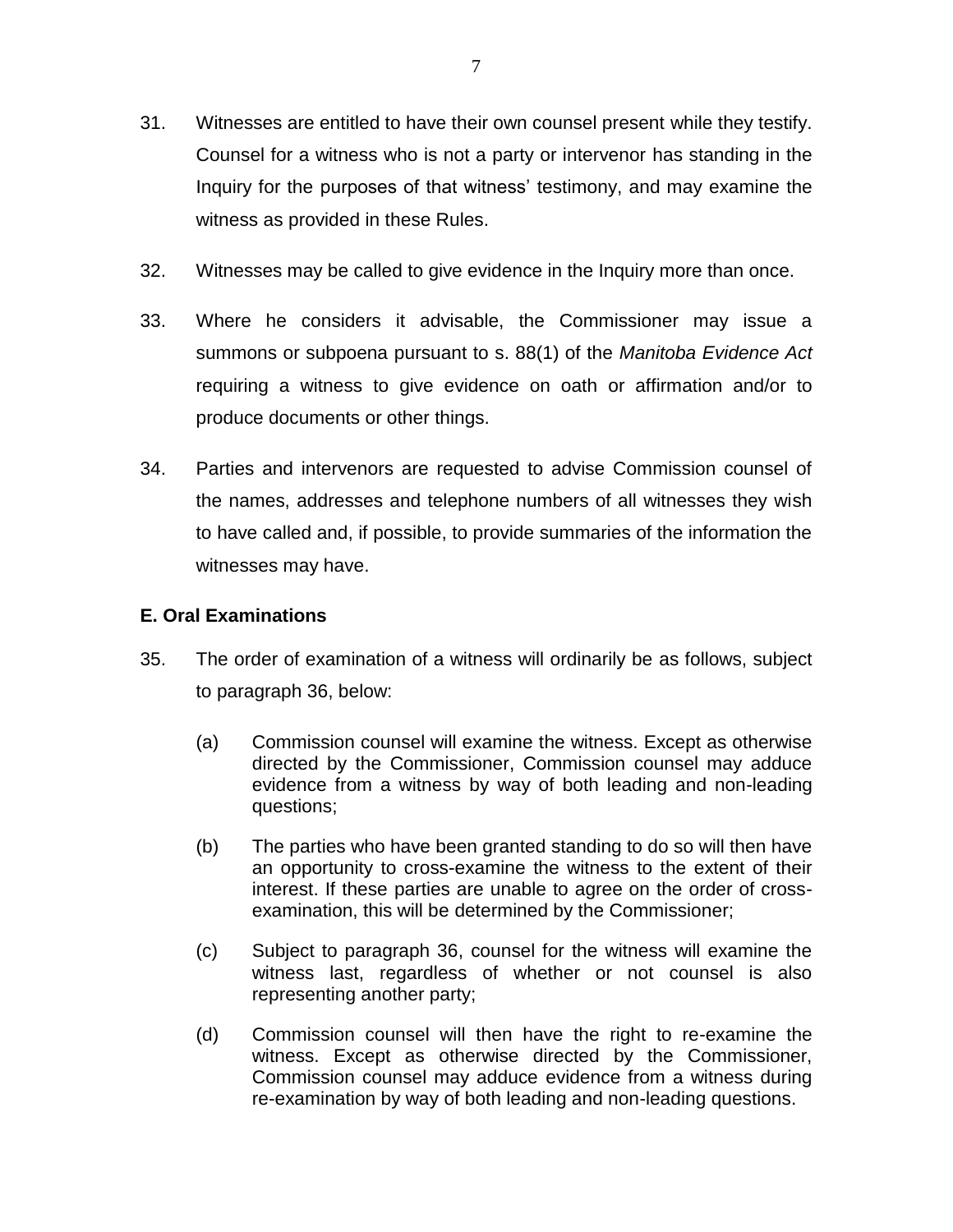- 31. Witnesses are entitled to have their own counsel present while they testify. Counsel for a witness who is not a party or intervenor has standing in the Inquiry for the purposes of that witness' testimony, and may examine the witness as provided in these Rules.
- 32. Witnesses may be called to give evidence in the Inquiry more than once.
- 33. Where he considers it advisable, the Commissioner may issue a summons or subpoena pursuant to s. 88(1) of the *Manitoba Evidence Act*  requiring a witness to give evidence on oath or affirmation and/or to produce documents or other things.
- 34. Parties and intervenors are requested to advise Commission counsel of the names, addresses and telephone numbers of all witnesses they wish to have called and, if possible, to provide summaries of the information the witnesses may have.

## **E. Oral Examinations**

- 35. The order of examination of a witness will ordinarily be as follows, subject to paragraph 36, below:
	- (a) Commission counsel will examine the witness. Except as otherwise directed by the Commissioner, Commission counsel may adduce evidence from a witness by way of both leading and non-leading questions;
	- (b) The parties who have been granted standing to do so will then have an opportunity to cross-examine the witness to the extent of their interest. If these parties are unable to agree on the order of crossexamination, this will be determined by the Commissioner;
	- (c) Subject to paragraph 36, counsel for the witness will examine the witness last, regardless of whether or not counsel is also representing another party;
	- (d) Commission counsel will then have the right to re-examine the witness. Except as otherwise directed by the Commissioner, Commission counsel may adduce evidence from a witness during re-examination by way of both leading and non-leading questions.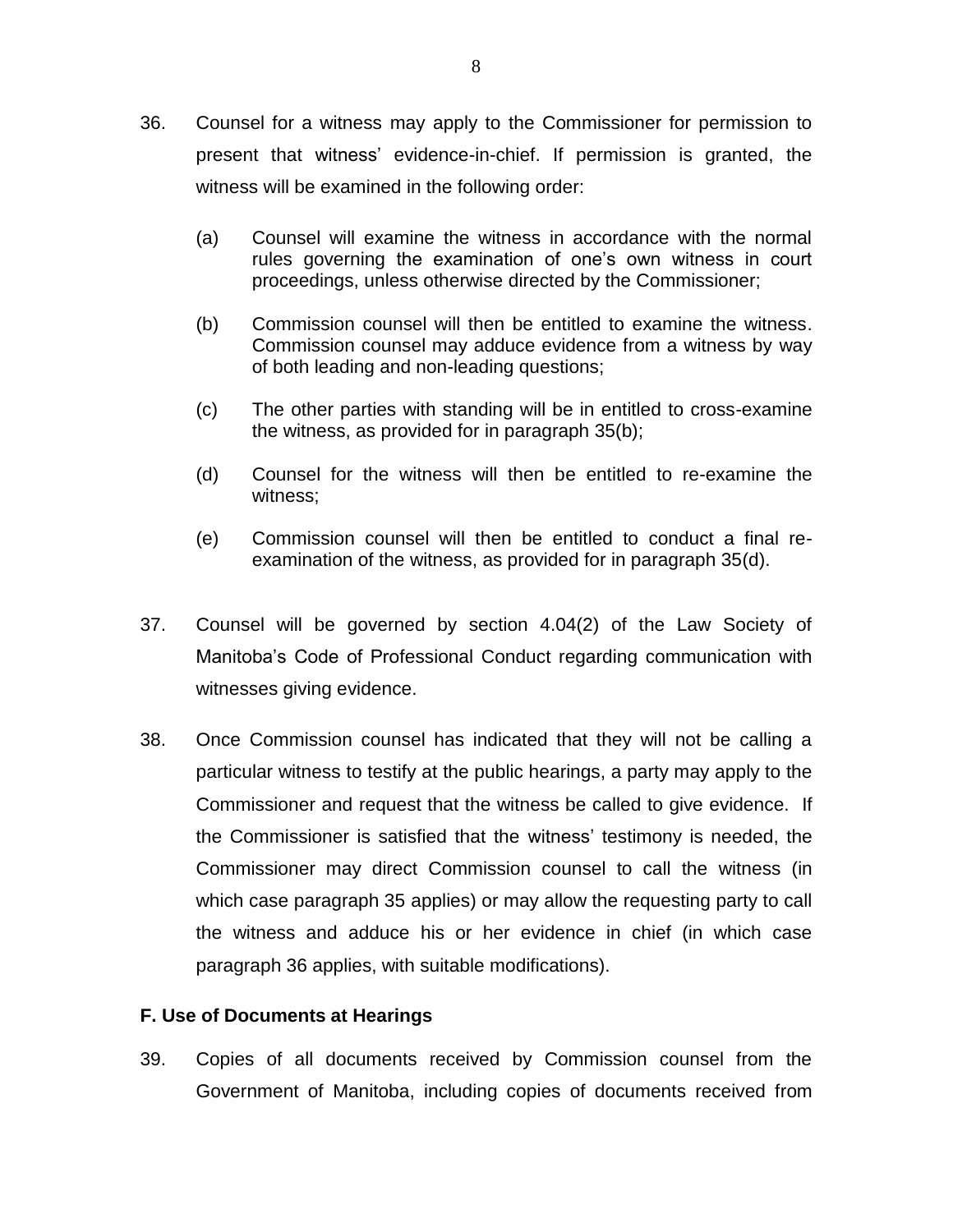- 36. Counsel for a witness may apply to the Commissioner for permission to present that witness' evidence-in-chief. If permission is granted, the witness will be examined in the following order:
	- (a) Counsel will examine the witness in accordance with the normal rules governing the examination of one's own witness in court proceedings, unless otherwise directed by the Commissioner;
	- (b) Commission counsel will then be entitled to examine the witness. Commission counsel may adduce evidence from a witness by way of both leading and non-leading questions;
	- (c) The other parties with standing will be in entitled to cross-examine the witness, as provided for in paragraph 35(b);
	- (d) Counsel for the witness will then be entitled to re-examine the witness;
	- (e) Commission counsel will then be entitled to conduct a final reexamination of the witness, as provided for in paragraph 35(d).
- 37. Counsel will be governed by section 4.04(2) of the Law Society of Manitoba's Code of Professional Conduct regarding communication with witnesses giving evidence.
- 38. Once Commission counsel has indicated that they will not be calling a particular witness to testify at the public hearings, a party may apply to the Commissioner and request that the witness be called to give evidence. If the Commissioner is satisfied that the witness' testimony is needed, the Commissioner may direct Commission counsel to call the witness (in which case paragraph 35 applies) or may allow the requesting party to call the witness and adduce his or her evidence in chief (in which case paragraph 36 applies, with suitable modifications).

## **F. Use of Documents at Hearings**

39. Copies of all documents received by Commission counsel from the Government of Manitoba, including copies of documents received from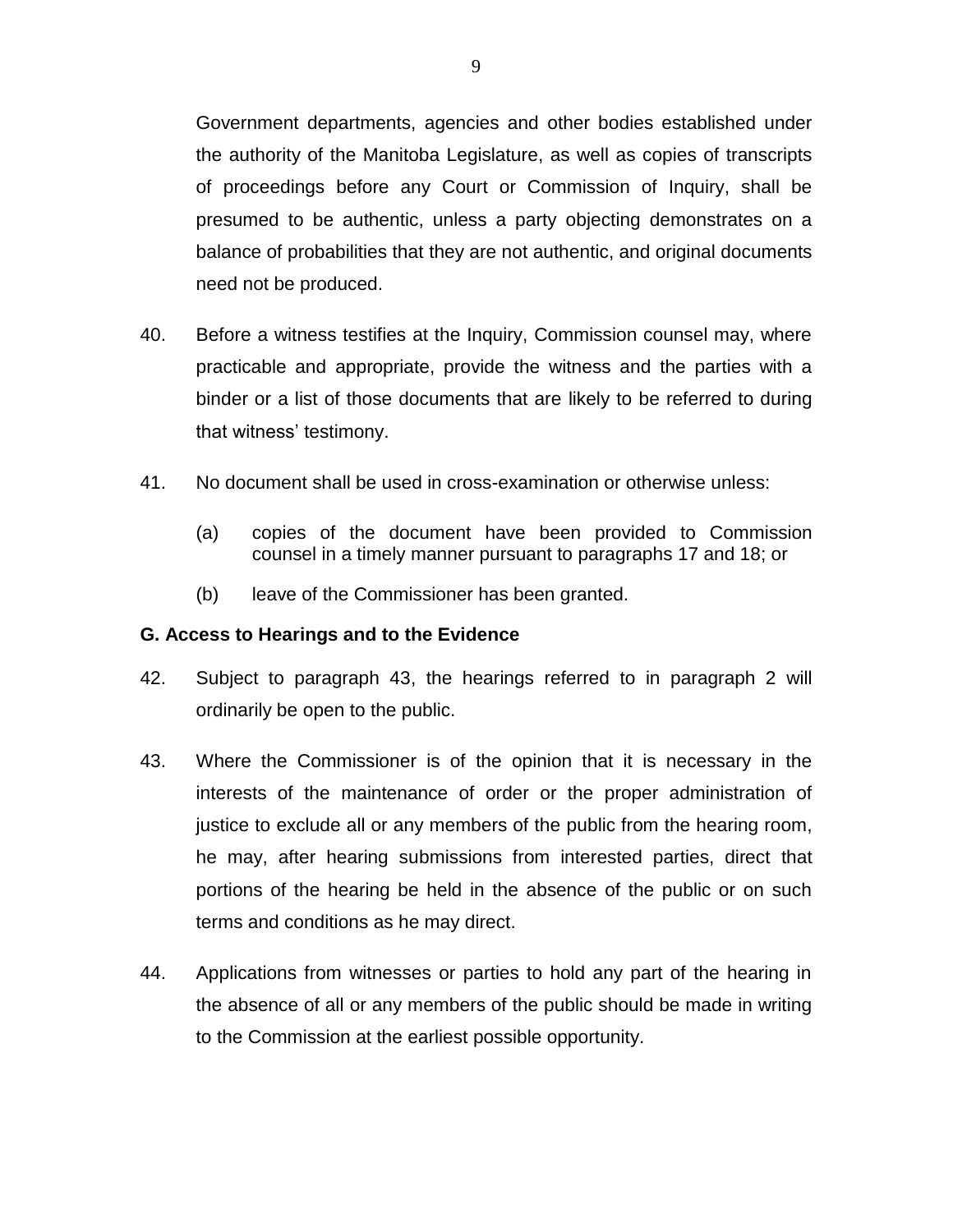Government departments, agencies and other bodies established under the authority of the Manitoba Legislature, as well as copies of transcripts of proceedings before any Court or Commission of Inquiry, shall be presumed to be authentic, unless a party objecting demonstrates on a balance of probabilities that they are not authentic, and original documents need not be produced.

- 40. Before a witness testifies at the Inquiry, Commission counsel may, where practicable and appropriate, provide the witness and the parties with a binder or a list of those documents that are likely to be referred to during that witness' testimony.
- 41. No document shall be used in cross-examination or otherwise unless:
	- (a) copies of the document have been provided to Commission counsel in a timely manner pursuant to paragraphs 17 and 18; or
	- (b) leave of the Commissioner has been granted.

## **G. Access to Hearings and to the Evidence**

- 42. Subject to paragraph 43, the hearings referred to in paragraph 2 will ordinarily be open to the public.
- 43. Where the Commissioner is of the opinion that it is necessary in the interests of the maintenance of order or the proper administration of justice to exclude all or any members of the public from the hearing room, he may, after hearing submissions from interested parties, direct that portions of the hearing be held in the absence of the public or on such terms and conditions as he may direct.
- 44. Applications from witnesses or parties to hold any part of the hearing in the absence of all or any members of the public should be made in writing to the Commission at the earliest possible opportunity.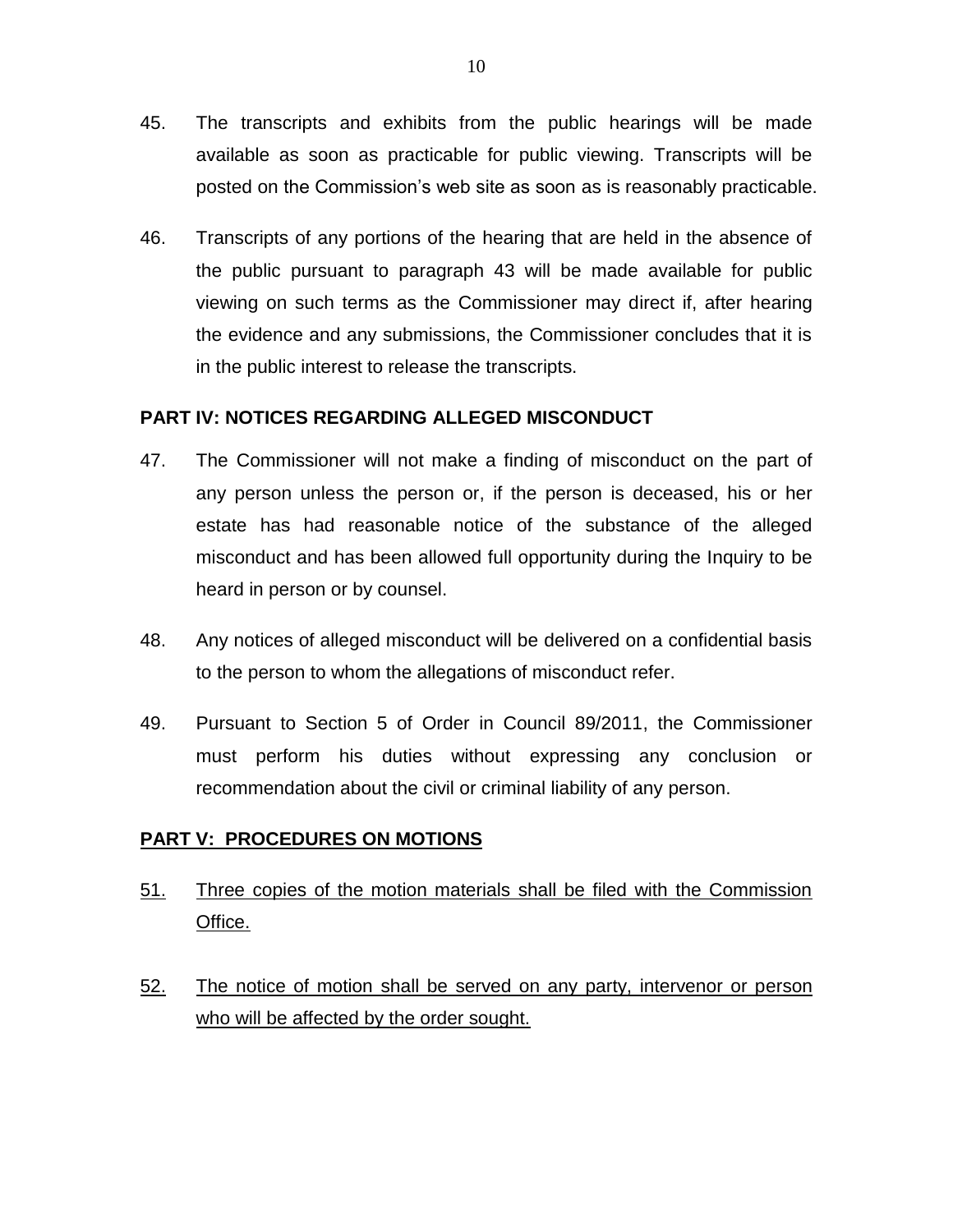- 45. The transcripts and exhibits from the public hearings will be made available as soon as practicable for public viewing. Transcripts will be posted on the Commission's web site as soon as is reasonably practicable.
- 46. Transcripts of any portions of the hearing that are held in the absence of the public pursuant to paragraph 43 will be made available for public viewing on such terms as the Commissioner may direct if, after hearing the evidence and any submissions, the Commissioner concludes that it is in the public interest to release the transcripts.

## **PART IV: NOTICES REGARDING ALLEGED MISCONDUCT**

- 47. The Commissioner will not make a finding of misconduct on the part of any person unless the person or, if the person is deceased, his or her estate has had reasonable notice of the substance of the alleged misconduct and has been allowed full opportunity during the Inquiry to be heard in person or by counsel.
- 48. Any notices of alleged misconduct will be delivered on a confidential basis to the person to whom the allegations of misconduct refer.
- 49. Pursuant to Section 5 of Order in Council 89/2011, the Commissioner must perform his duties without expressing any conclusion or recommendation about the civil or criminal liability of any person.

## **PART V: PROCEDURES ON MOTIONS**

- 51. Three copies of the motion materials shall be filed with the Commission Office.
- 52. The notice of motion shall be served on any party, intervenor or person who will be affected by the order sought.